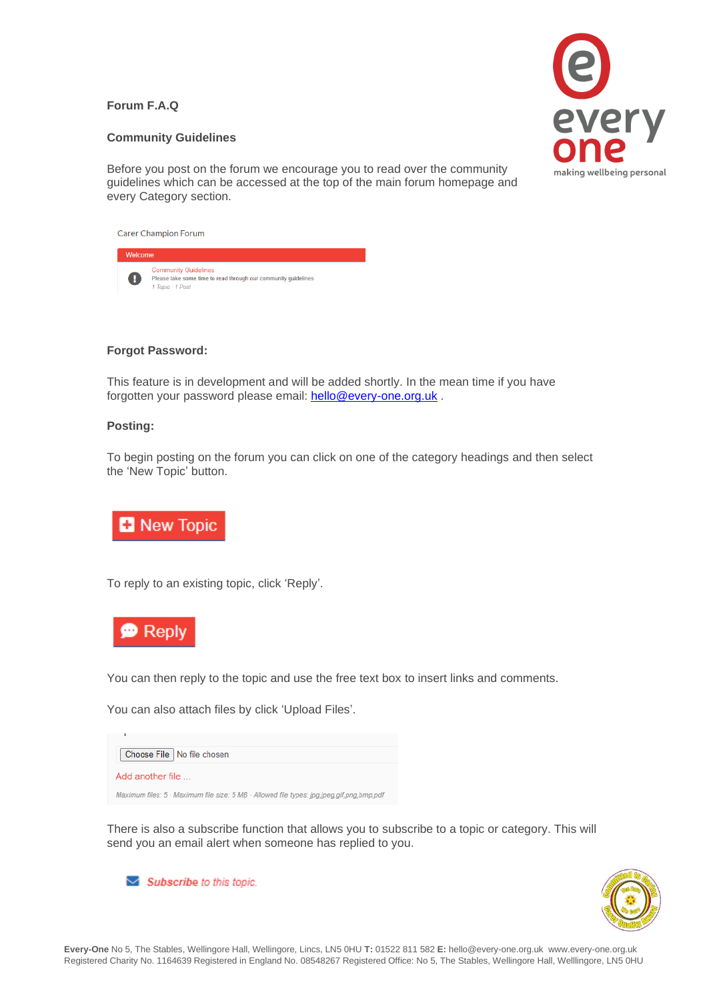# **Forum F.A.Q**



# **Community Guidelines**

Before you post on the forum we encourage you to read over the community guidelines which can be accessed at the top of the main forum homepage and every Category section.

| <b>Carer Champion Forum</b> |                                                                                                                   |
|-----------------------------|-------------------------------------------------------------------------------------------------------------------|
| Welcome                     |                                                                                                                   |
| 0                           | <b>Community Guidelines</b><br>Please take some time to read through our community guidelines<br>1 Topic - 1 Post |

### **Forgot Password:**

This feature is in development and will be added shortly. In the mean time if you have forgotten your password please email: [hello@every-one.org.uk](mailto:hello@every-one.org.uk) .

#### **Posting:**

To begin posting on the forum you can click on one of the category headings and then select the 'New Topic' button.



To reply to an existing topic, click 'Reply'.



You can then reply to the topic and use the free text box to insert links and comments.

You can also attach files by click 'Upload Files'.

| Choose File   No file chosen                                                              |
|-------------------------------------------------------------------------------------------|
| Add another file                                                                          |
| Maximum files: 5 · Maximum file size: 5 MB · Allowed file types: jpg.jpeg.gif.png.bmp.pdf |

There is also a subscribe function that allows you to subscribe to a topic or category. This will send you an email alert when someone has replied to you.